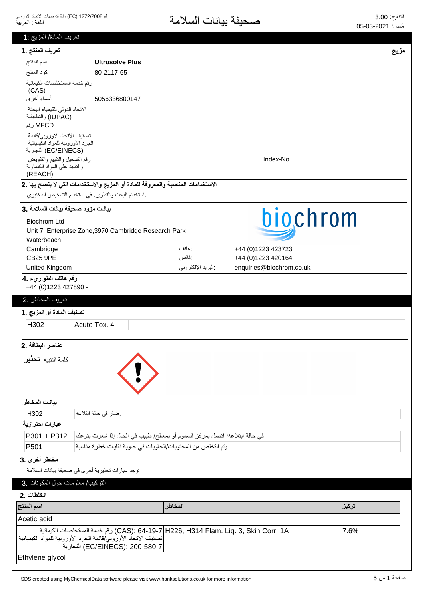رقم 1272/2008 (EC) وفقاً لتوجيهات الاتحاد الأوروبي اللغة : العربية

# التنقيح: 3.00<br>مُعدل: 2021-05-05

| تعريف المادة/ المزيج :1                                                                   |                                                                                                                                                                                            |                   |                          |       |
|-------------------------------------------------------------------------------------------|--------------------------------------------------------------------------------------------------------------------------------------------------------------------------------------------|-------------------|--------------------------|-------|
| تعريف المنتج .1                                                                           |                                                                                                                                                                                            |                   |                          | مزيج  |
| اسم المنتج                                                                                | <b>Ultrosolve Plus</b>                                                                                                                                                                     |                   |                          |       |
| كود المنتج                                                                                | 80-2117-65                                                                                                                                                                                 |                   |                          |       |
| رقم خدمة المستخلصات الكيمائية<br>(CAS)                                                    |                                                                                                                                                                                            |                   |                          |       |
| أسماء أخرى                                                                                | 5056336800147                                                                                                                                                                              |                   |                          |       |
| الاتحاد الدولي للكيمياء البحتة<br>(IUPAC) والتطبيقية<br>MFCD رقم                          |                                                                                                                                                                                            |                   |                          |       |
| تصنيف الاتحاد الأوروبي/قائمة<br>الجرد الأوروبية للمواد الكيميائية<br>(EC/EINECS) التجارية |                                                                                                                                                                                            |                   |                          |       |
| رقم التسجيل والتقييم والتفويض<br>والنقييد على المواد الكيماوية<br>(REACH)                 |                                                                                                                                                                                            |                   | Index-No                 |       |
|                                                                                           | الاستخدامات المناسبة والمعروفة للمادة أو المزيج والاستخدامات التي لا ينصح بها .2                                                                                                           |                   |                          |       |
|                                                                                           | .استخدام البحث والتطوير في استخدام التشخيص المختبري                                                                                                                                        |                   |                          |       |
| بيانات مزود صحيفة بيانات السلامة .3                                                       |                                                                                                                                                                                            |                   |                          |       |
| <b>Biochrom Ltd</b>                                                                       |                                                                                                                                                                                            |                   | biochrom                 |       |
|                                                                                           | Unit 7, Enterprise Zone, 3970 Cambridge Research Park                                                                                                                                      |                   |                          |       |
| Waterbeach<br>Cambridge                                                                   |                                                                                                                                                                                            | : هاتف            | +44 (0)1223 423723       |       |
| <b>CB25 9PE</b>                                                                           |                                                                                                                                                                                            | :فاكس             | +44 (0)1223 420164       |       |
| United Kingdom                                                                            |                                                                                                                                                                                            | البريد الإلكتروني | enquiries@biochrom.co.uk |       |
| رقم هاتف الطواريء .4<br>+44 (0) 1223 427890 -                                             |                                                                                                                                                                                            |                   |                          |       |
| تعريف المخاطر .2                                                                          |                                                                                                                                                                                            |                   |                          |       |
| تصنيف المادة أو المزيج .1                                                                 |                                                                                                                                                                                            |                   |                          |       |
| H302                                                                                      | Acute Tox. 4                                                                                                                                                                               |                   |                          |       |
| عناصر البطاقة .2                                                                          |                                                                                                                                                                                            |                   |                          |       |
| كلمة التنبيه <b>تحذير</b>                                                                 |                                                                                                                                                                                            |                   |                          |       |
| بيانات المخاطر                                                                            |                                                                                                                                                                                            |                   |                          |       |
| H302                                                                                      | ضار في حالة ابتلاعه                                                                                                                                                                        |                   |                          |       |
| عبارات احترازية                                                                           |                                                                                                                                                                                            |                   |                          |       |
| $P301 + P312$                                                                             | في حالة ابتلاعه: اتصل بمركز السموم أو بمعالج/ طبيب في الحال إذا شعرت بتوعك                                                                                                                 |                   |                          |       |
| P <sub>501</sub>                                                                          | يتم التخلص من المحتويات/الحاويات في حاوية نفايات خطرة مناسبة                                                                                                                               |                   |                          |       |
| مخاطر أخرى .3                                                                             |                                                                                                                                                                                            |                   |                          |       |
|                                                                                           | توجد عبارات تحذيرية أخرى في صحيفة بيانات السلامة                                                                                                                                           |                   |                          |       |
| التركيب/ معلومات حول المكونات .3                                                          |                                                                                                                                                                                            |                   |                          |       |
| الخلطات .2                                                                                |                                                                                                                                                                                            |                   |                          |       |
| اسم المنتج                                                                                |                                                                                                                                                                                            | المخاطر           |                          | تركيز |
| Acetic acid                                                                               |                                                                                                                                                                                            |                   |                          |       |
|                                                                                           | CAS): 64-19-7 H226, H314 Flam. Liq. 3, Skin Corr. 1A) رقم خدمة المستخلصات الكيمائية<br>تصنيف الاتحاد الأوروبي/قائمة الجرد الأوروبية للمواد الكيميائية  <br>EC/EINECS): 200-580-7) التجارية |                   |                          | 7.6%  |
| Ethylene glycol                                                                           |                                                                                                                                                                                            |                   |                          |       |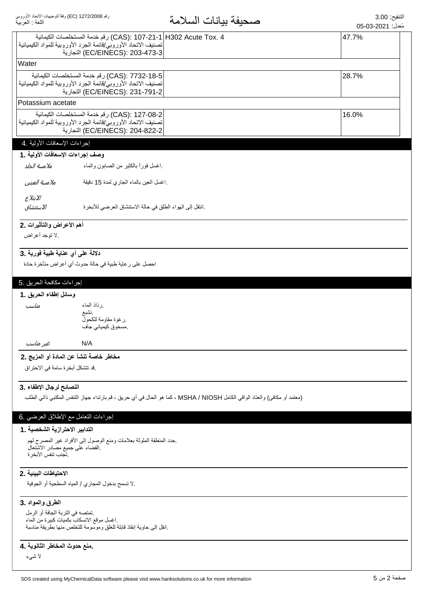$\overline{\phantom{a}}$ 

| مُعدل: 2021-03-05 |  |
|-------------------|--|
|                   |  |

|                                                      | CAS): 107-21-1 H302 Acute Tox. 4) رقم خدمة المستخلصات الكيمائية<br>تصنيف الاتحاد الأوروبي/قائمة الجرد الأوروبية للمواد الكيميائية | 47.7% |  |
|------------------------------------------------------|-----------------------------------------------------------------------------------------------------------------------------------|-------|--|
|                                                      | EC/EINECS): 203-473-3) التجارية                                                                                                   |       |  |
| Water                                                |                                                                                                                                   |       |  |
|                                                      | CAS): 7732-18-5) رقم خدمة المستخلصات الكيمائية<br>تصنيف الاتحاد الأوروبي/قائمة الجرد الأوروبية للمواد الكيميائية                  | 28.7% |  |
|                                                      | EC/EINECS): 231-791-2) التجارية                                                                                                   |       |  |
| Potassium acetate                                    |                                                                                                                                   |       |  |
|                                                      | CAS): 127-08-2) رقم خدمة المستخلصات الكيمائية                                                                                     | 16.0% |  |
|                                                      | تصنيف الاتحاد الأوروبي/قائمة الجرد الأوروبية للمواد الكيميائية  <br>EC/EINECS): 204-822-2) التجارية                               |       |  |
|                                                      |                                                                                                                                   |       |  |
| إجراءات الإسعافات الأولية .4                         |                                                                                                                                   |       |  |
| وصف إجراءات الإسعافات الأولية . 1                    |                                                                                                                                   |       |  |
| ملامسة الجلد                                         | اغسل فورأ بالكثير من الصابون والماء                                                                                               |       |  |
| ملامسة العينين                                       | .اغسل العين بالماء الجاري لمدة 15 دقيقة                                                                                           |       |  |
| الابتلاع                                             |                                                                                                                                   |       |  |
| الاستنشاق                                            | .انتقل إلى الهواء الطلق في حالة الاستنشاق العرضي للأبخرة                                                                          |       |  |
| أهم الأعراض والتأثيرات .2                            |                                                                                                                                   |       |  |
| .لا توجد أعراض                                       |                                                                                                                                   |       |  |
| دلالة على أي عناية طبية فورية .3                     |                                                                                                                                   |       |  |
|                                                      | احصل على رعاية طبية في حالة حدوث أي أعراض متأخرة حادة                                                                             |       |  |
| إجراءات مكافحة الحريق .5                             |                                                                                                                                   |       |  |
| وسائل إطفاء الحريق .1                                |                                                                                                                                   |       |  |
| مناسب                                                | رذاذ الماء                                                                                                                        |       |  |
|                                                      | نشبع<br>رغوة مقاومة للكحول                                                                                                        |       |  |
|                                                      | مسحوق كيميائي جاف                                                                                                                 |       |  |
| غير مناسب                                            | N/A                                                                                                                               |       |  |
| مخاطر خاصة تنشأ عن المادة أو المزيج .2               |                                                                                                                                   |       |  |
| .قد تتشكل أبخر ة سامة في الاحتر اق                   |                                                                                                                                   |       |  |
| النصائح لرجال الإطفاء .3                             |                                                                                                                                   |       |  |
|                                                      | (معتمد أو مكافئ) والعتاد الواقي الكامل MSHA / NIOSH ، كما هو الحال في أي حريق ، قم بارتداء جهاز التنفس المكتبي ذاتي الطلب         |       |  |
| إجراءات التعامل مع الإطلاق العرضي .6                 |                                                                                                                                   |       |  |
| التدابير الاحترازية الشخصية .1                       |                                                                                                                                   |       |  |
|                                                      | حدد المنطقة الملوثة بعلامات ومنع الوصول إلى الأفراد غير المصرح لهم                                                                |       |  |
| القضاء على جميع مصادر الاشتعال<br>تجنب تنفس الأبخر ة |                                                                                                                                   |       |  |
| الاحتياطات البينية .2                                |                                                                                                                                   |       |  |
|                                                      | .لا تسمح بدخول المجاري / المياه السطحية أو الجوفية                                                                                |       |  |
| الطرق والمواد .3                                     |                                                                                                                                   |       |  |
| تمتصه في التربة الجافة أو الرمل                      |                                                                                                                                   |       |  |
|                                                      | اغسل موقع الانسكاب بكميات كبيرة من الماء<br>انقل إلى حاوية إنقاذ قابلة للغلق وموسومة للتخلص منها بطريقة مناسبة                    |       |  |
| منع حدوث المخاطر الثانوية .4                         |                                                                                                                                   |       |  |
| لا شىيء                                              |                                                                                                                                   |       |  |
|                                                      |                                                                                                                                   |       |  |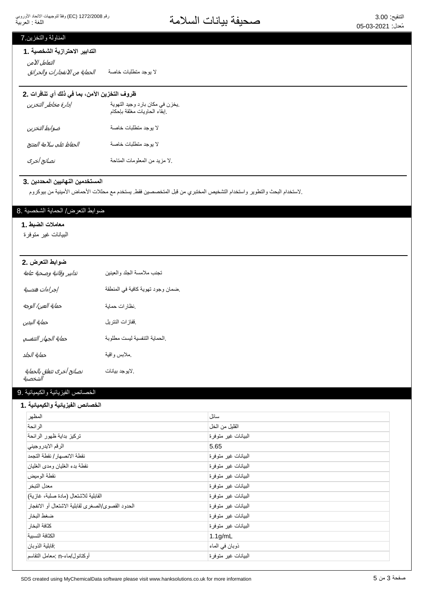التنقيع: 3.00<br>مُزار: 2021-05-26 مصطلحة المسلامة

## المناولة والتخزين 7

#### التدابير الاحترازية الشخصية .1

لا يوجد منطلبات خاصـة *الحماية من الانفجار ات والحر ائق* التعامل الآمن

## ظروف التخزين الآمن، بما في ذلك أي تنافرات .2

| إدارة مخاطر التخزين     | يخزن في مكان بارد وجيد التهوية<br>إبقاء الحاويات مغلقة بإحكام |
|-------------------------|---------------------------------------------------------------|
| ضوابط التخزين           | لا بوجد منطلبات خاصة                                          |
| الحفاظ على سلامة المنتج | لا بوجد منطلبات خاصة                                          |
| نصائح أخرى              | .لا مزيد من المعلومات المتاحة                                 |

#### المستخدمين النهائيين المحددين .3

واستخدام البحث والتطوير واستخدام التشخيص المختبري من قبل المتخصصين فقط. يستخدم مع محللات الأحماض الأمينية من بيوكروم (

## ضوابط التعرض/ الحماية الشخصية .8

# معاملات الضبط .1

البيانات غير متوفرة

| ضوابط التعرض .2                      |                                  |
|--------------------------------------|----------------------------------|
| تدابير وقائية وصحية عامة             | تجنب ملامسة الجلد والعينين       |
| إجراءات هندسية                       | ضمان وجود تهوية كافية في المنطقة |
| حماية العين/ الوجه                   | نظارات حماية                     |
| حماية اليدين                         | ففازات النتريل                   |
| حماية الجهاز التنفسي                 | الحماية التنفسية ليست مطلوبة     |
| حماية الجلد                          | ملابس واقية                      |
| نصائح أخرى تتعلق بالحماية<br>الشخصية | . لايو جد بيانات                 |

#### الخصائص الفيزيائية والكيميائية .9

#### الخصائص الفيزيائية والكيميائية **.** 1

| المظهر                                            | سائل                |
|---------------------------------------------------|---------------------|
| الر ائحة                                          | القلبل من الخل      |
| تركيز بداية ظهور الرائحة                          | البيانات غير متوفرة |
| الرقم الايدروجيني                                 | 5.65                |
| نقطة الانصهار / نقطة التجمد                       | البيانات غير متوفرة |
| نقطة بدء الغليان ومدى الغليان                     | البيانات غير متوفرة |
| نقطة الوميض                                       | البيانات غير متوفرة |
| معدل التبخر                                       | البيانات غير متوفرة |
| القابلية للاشتعال (مادة صلبة، غازية)              | البيانات غير متوفرة |
| الحدود القصوى/الصغرى لقابلية الاشتعال أو الانفجار | البيانات غير متوفرة |
| ضغط البخار                                        | البيانات غير متوفرة |
| كثافة البخار                                      | البيانات غير متوفرة |
| الكثافة النسببة                                   | $1.1$ g/mL          |
| : قابلية الذو بان                                 | ذوبان في الماء      |
| أوكتانول/ماء-n :معامل التقاسم                     | البيانات غير منوفرة |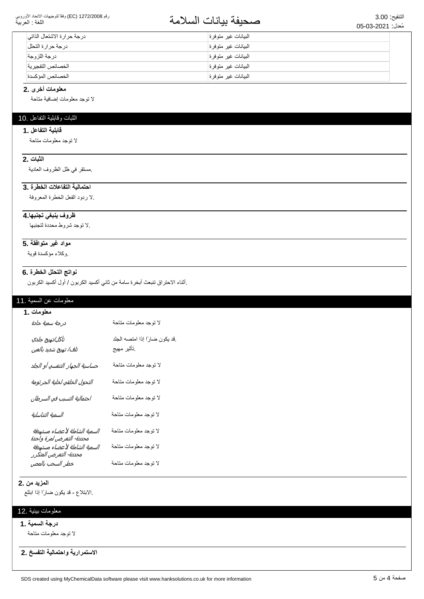#### رقم 1272/2008 (EC) وفقاً لتوجيهات الاتحاد الأوروبي اللغة : العربية

# التنقيع: 3.00<br>مُزار: 2021-05-26 مصطلحة التعامل السلامة

| درجة حرارة الاشتعال الذاتي | البيانات غير متوفرة  |
|----------------------------|----------------------|
| در جة حر ار ة التحلل       | البيانات غير متوفر ة |
| در جة اللز و جة            | البيانات غير متوفرة  |
| الخصائص التفجيرية          | البيانات غير متوفر ة |
| الخصائص المؤكسدة           | البيانات غير متوفرة  |

#### معلومات أخرى .2

لا نوجد معلومات إضافية متاحة

## الثبات وقابلية التفاعل .10

#### قابلية التفاعل .1

لا توجد معلومات متاحة

### **الثبات .2**

مستقر في ظل الظروف العادية

## احتمالية التفاعلات الخطرة .3

لا ردود الفعل الخطرة المعروفة

### ظروف ينبغي تجنبها 4.

۷٫ تو جد شر و ط محددة لتجنبها.

#### مواد غير متوافقة .5

وكلاء مؤكسدة قوية.

# نواتج التحلل الخطرة .6

إأثناء الاحتراق تنبعث أبخرة سامة من ثاني أكسيد الكربون / أول أكسيد الكربون

#### معلومات عن السمية .11

| معلومات .1                                                |                                             |
|-----------------------------------------------------------|---------------------------------------------|
| درجة سمية حادة                                            | لا توجد معلومات متاحة                       |
| تآكل/تهيج جلدي<br>تلف/ تهيج شديد بالعين                   | قد يكون ضارًا إذا امتصه الجلد<br>تأثير مهيج |
| حساسية الجهاز التنفسي أو الجلد                            | لا توجد معلومات متاحة                       |
| التحول الخلقي لخلية الجرثومة                              | لا توجد معلومات متاحة                       |
| احتمالية التسبب في السرطان                                | لا توجد معلومات متاحة                       |
| السمية التناسلية                                          | لا توجد معلومات متاحة                       |
| السمية الشاملة لأعضاء مستهدفة<br>محددة- التعرض لمرة واحدة | لا توجد معلومات متاحة                       |
| السمية الشاملة لأعضاء مستهدفة<br>محددة- التعرض المتكرر    | لا توجد معلومات متاحة                       |
| خطر السحب بالمص                                           | لا نوجد معلومات متاحة                       |

#### **المزيد من 2.**

الابتلاع - قد يكون ضارًا إذا ابتلع.

## معلومات بيئية .12

#### **درجة السمية .1**

لا توجد معلومات متاحة

الاستمرارية واحتمالية التفسخ .2